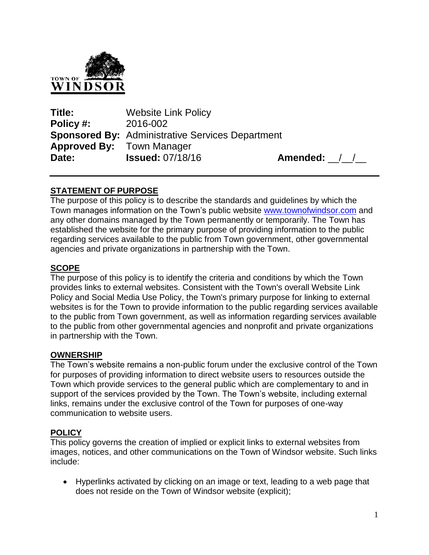

**Title:** Website Link Policy **Policy #:** 2016-002 **Sponsored By:** Administrative Services Department **Approved By:** Town Manager **Date: Issued:** 07/18/16 **Amended:** / /

# **STATEMENT OF PURPOSE**

The purpose of this policy is to describe the standards and guidelines by which the Town manages information on the Town's public website [www.townofwindsor.com](http://www.townofwindsor.com/) and any other domains managed by the Town permanently or temporarily. The Town has established the website for the primary purpose of providing information to the public regarding services available to the public from Town government, other governmental agencies and private organizations in partnership with the Town.

## **SCOPE**

The purpose of this policy is to identify the criteria and conditions by which the Town provides links to external websites. Consistent with the Town's overall Website Link Policy and Social Media Use Policy, the Town's primary purpose for linking to external websites is for the Town to provide information to the public regarding services available to the public from Town government, as well as information regarding services available to the public from other governmental agencies and nonprofit and private organizations in partnership with the Town.

## **OWNERSHIP**

The Town's website remains a non-public forum under the exclusive control of the Town for purposes of providing information to direct website users to resources outside the Town which provide services to the general public which are complementary to and in support of the services provided by the Town. The Town's website, including external links, remains under the exclusive control of the Town for purposes of one-way communication to website users.

## **POLICY**

This policy governs the creation of implied or explicit links to external websites from images, notices, and other communications on the Town of Windsor website. Such links include:

 Hyperlinks activated by clicking on an image or text, leading to a web page that does not reside on the Town of Windsor website (explicit);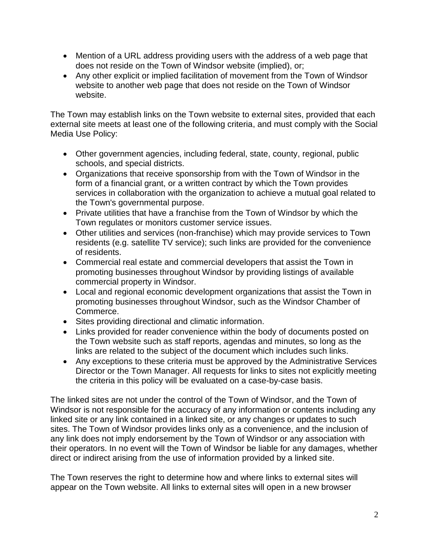- Mention of a URL address providing users with the address of a web page that does not reside on the Town of Windsor website (implied), or;
- Any other explicit or implied facilitation of movement from the Town of Windsor website to another web page that does not reside on the Town of Windsor website.

The Town may establish links on the Town website to external sites, provided that each external site meets at least one of the following criteria, and must comply with the Social Media Use Policy:

- Other government agencies, including federal, state, county, regional, public schools, and special districts.
- Organizations that receive sponsorship from with the Town of Windsor in the form of a financial grant, or a written contract by which the Town provides services in collaboration with the organization to achieve a mutual goal related to the Town's governmental purpose.
- Private utilities that have a franchise from the Town of Windsor by which the Town regulates or monitors customer service issues.
- Other utilities and services (non-franchise) which may provide services to Town residents (e.g. satellite TV service); such links are provided for the convenience of residents.
- Commercial real estate and commercial developers that assist the Town in promoting businesses throughout Windsor by providing listings of available commercial property in Windsor.
- Local and regional economic development organizations that assist the Town in promoting businesses throughout Windsor, such as the Windsor Chamber of Commerce.
- Sites providing directional and climatic information.
- Links provided for reader convenience within the body of documents posted on the Town website such as staff reports, agendas and minutes, so long as the links are related to the subject of the document which includes such links.
- Any exceptions to these criteria must be approved by the Administrative Services Director or the Town Manager. All requests for links to sites not explicitly meeting the criteria in this policy will be evaluated on a case-by-case basis.

The linked sites are not under the control of the Town of Windsor, and the Town of Windsor is not responsible for the accuracy of any information or contents including any linked site or any link contained in a linked site, or any changes or updates to such sites. The Town of Windsor provides links only as a convenience, and the inclusion of any link does not imply endorsement by the Town of Windsor or any association with their operators. In no event will the Town of Windsor be liable for any damages, whether direct or indirect arising from the use of information provided by a linked site.

The Town reserves the right to determine how and where links to external sites will appear on the Town website. All links to external sites will open in a new browser